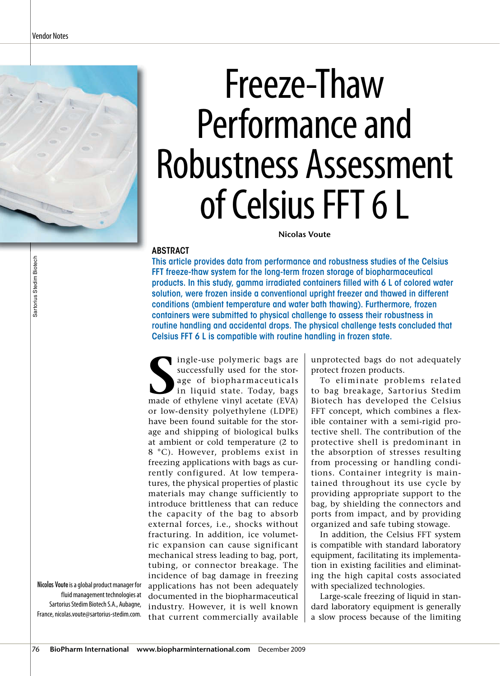# Freeze-Thaw Performance and Robustness Assessment of Celsius FFT 6 L

**Nicolas Voute** 

### ABSTRACT

This article provides data from performance and robustness studies of the Celsius FFT freeze-thaw system for the long-term frozen storage of biopharmaceutical products. In this study, gamma irradiated containers filled with 6 L of colored water solution, were frozen inside a conventional upright freezer and thawed in different conditions (ambient temperature and water bath thawing). Furthermore, frozen containers were submitted to physical challenge to assess their robustness in routine handling and accidental drops. The physical challenge tests concluded that Celsius FFT 6 L is compatible with routine handling in frozen state.

**S** ingle-use polymeric bags are successfully used for the storage of biopharmaceuticals in liquid state. Today, bags made of ethylene vinyl acetate (EVA) or low-density polyethylene (LDPE) have been found suitable for the storage and shipping of biological bulks at ambient or cold temperature (2 to 8 °C). However, problems exist in freezing applications with bags as currently configured. At low temperatures, the physical properties of plastic materials may change sufficiently to introduce brittleness that can reduce the capacity of the bag to absorb external forces, i.e., shocks without fracturing. In addition, ice volumetric expansion can cause significant mechanical stress leading to bag, port, tubing, or connector breakage. The incidence of bag damage in freezing applications has not been adequately documented in the biopharmaceutical industry. However, it is well known that current commercially available

unprotected bags do not adequately protect frozen products.

To eliminate problems related to bag breakage, Sartorius Stedim Biotech has developed the Celsius FFT concept, which combines a flexible container with a semi-rigid protective shell. The contribution of the protective shell is predominant in the absorption of stresses resulting from processing or handling conditions. Container integrity is maintained throughout its use cycle by providing appropriate support to the bag, by shielding the connectors and ports from impact, and by providing organized and safe tubing stowage.

In addition, the Celsius FFT system is compatible with standard laboratory equipment, facilitating its implementation in existing facilities and eliminating the high capital costs associated with specialized technologies.

Large-scale freezing of liquid in standard laboratory equipment is generally a slow process because of the limiting

Nicolas Voute is a global product manager for fluid management technologies at Sartorius Stedim Biotech S.A., Aubagne, France, nicolas.voute@sartorius-stedim.com.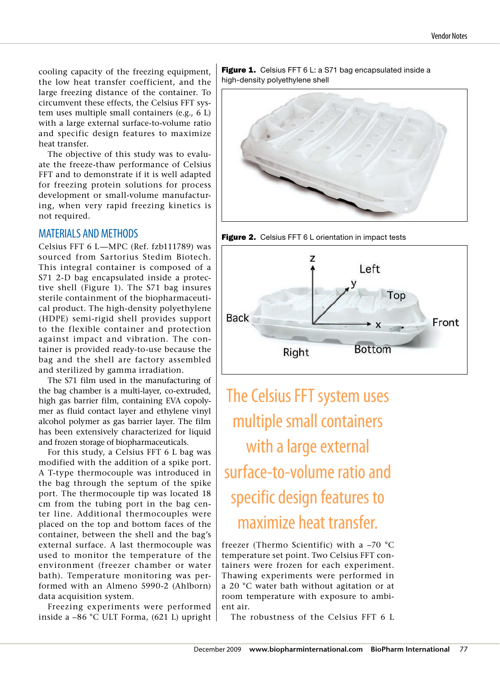cooling capacity of the freezing equipment, the low heat transfer coefficient, and the large freezing distance of the container. To circumvent these effects, the Celsius FFT system uses multiple small containers (e.g., 6 L) with a large external surface-to-volume ratio and specific design features to maximize heat transfer.

The objective of this study was to evaluate the freeze-thaw performance of Celsius FFT and to demonstrate if it is well adapted for freezing protein solutions for process development or small-volume manufacturing, when very rapid freezing kinetics is not required.

### MATERIALS AND METHODS

Celsius FFT 6 L—MPC (Ref. fzb111789) was sourced from Sartorius Stedim Biotech. This integral container is composed of a S71 2-D bag encapsulated inside a protective shell (Figure 1). The S71 bag insures sterile containment of the biopharmaceutical product. The high-density polyethylene (HDPE) semi-rigid shell provides support to the flexible container and protection against impact and vibration. The container is provided ready-to-use because the bag and the shell are factory assembled and sterilized by gamma irradiation.

The S71 film used in the manufacturing of the bag chamber is a multi-layer, co-extruded, high gas barrier film, containing EVA copolymer as fluid contact layer and ethylene vinyl alcohol polymer as gas barrier layer. The film has been extensively characterized for liquid and frozen storage of biopharmaceuticals.

For this study, a Celsius FFT 6 L bag was modified with the addition of a spike port. A T-type thermocouple was introduced in the bag through the septum of the spike port. The thermocouple tip was located 18 cm from the tubing port in the bag center line. Additional thermocouples were placed on the top and bottom faces of the container, between the shell and the bag's external surface. A last thermocouple was used to monitor the temperature of the environment (freezer chamber or water bath). Temperature monitoring was performed with an Almeno 5990-2 (Ahlborn) data acquisition system.

Freezing experiments were performed inside a –86 °C ULT Forma, (621 L) upright

Figure 1. Celsius FFT 6 L: a S71 bag encapsulated inside a high-density polyethylene shell



Figure 2. Celsius FFT 6 L orientation in impact tests



The Celsius FFT system uses multiple small containers with a large external surface-to-volume ratio and specific design features to maximize heat transfer.

freezer (Thermo Scientific) with a –70 °C temperature set point. Two Celsius FFT containers were frozen for each experiment. Thawing experiments were performed in a 20 °C water bath without agitation or at room temperature with exposure to ambient air.

The robustness of the Celsius FFT 6 L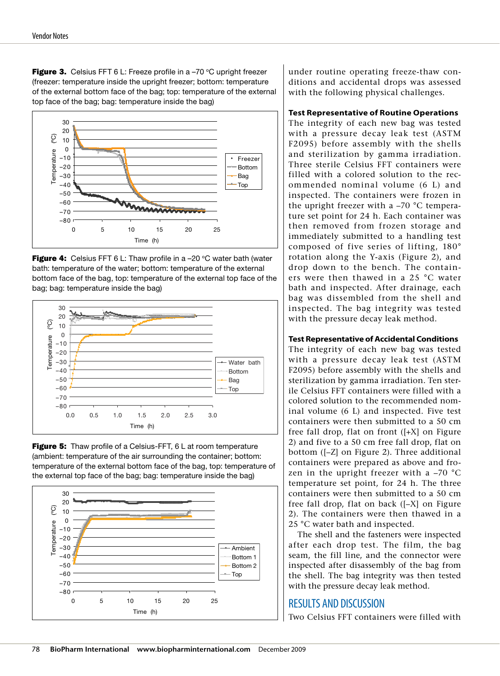**Figure 3.** Celsius FFT 6 L: Freeze profile in a  $-70$  °C upright freezer (freezer: temperature inside the upright freezer; bottom: temperature of the external bottom face of the bag; top: temperature of the external top face of the bag; bag: temperature inside the bag)











under routine operating freeze-thaw conditions and accidental drops was assessed with the following physical challenges.

### **Test Representative of Routine Operations**

The integrity of each new bag was tested with a pressure decay leak test (ASTM F2095) before assembly with the shells and sterilization by gamma irradiation. Three sterile Celsius FFT containers were filled with a colored solution to the recommended nominal volume (6 L) and inspected. The containers were frozen in the upright freezer with a –70 °C temperature set point for 24 h. Each container was then removed from frozen storage and immediately submitted to a handling test composed of five series of lifting, 180° rotation along the Y-axis (Figure 2), and drop down to the bench. The containers were then thawed in a 25 °C water bath and inspected. After drainage, each bag was dissembled from the shell and inspected. The bag integrity was tested with the pressure decay leak method.

### **Test Representative of Accidental Conditions**

The integrity of each new bag was tested with a pressure decay leak test (ASTM F2095) before assembly with the shells and sterilization by gamma irradiation. Ten sterile Celsius FFT containers were filled with a colored solution to the recommended nominal volume (6 L) and inspected. Five test containers were then submitted to a 50 cm free fall drop, flat on front  $([-X]$  on Figure 2) and five to a 50 cm free fall drop, flat on bottom ([–Z] on Figure 2). Three additional containers were prepared as above and frozen in the upright freezer with a  $-70$  °C temperature set point, for 24 h. The three containers were then submitted to a 50 cm free fall drop, flat on back ([–X] on Figure 2). The containers were then thawed in a 25 °C water bath and inspected.

The shell and the fasteners were inspected after each drop test. The film, the bag seam, the fill line, and the connector were inspected after disassembly of the bag from the shell. The bag integrity was then tested with the pressure decay leak method.

### RESULTS AND DISCUSSION

Two Celsius FFT containers were filled with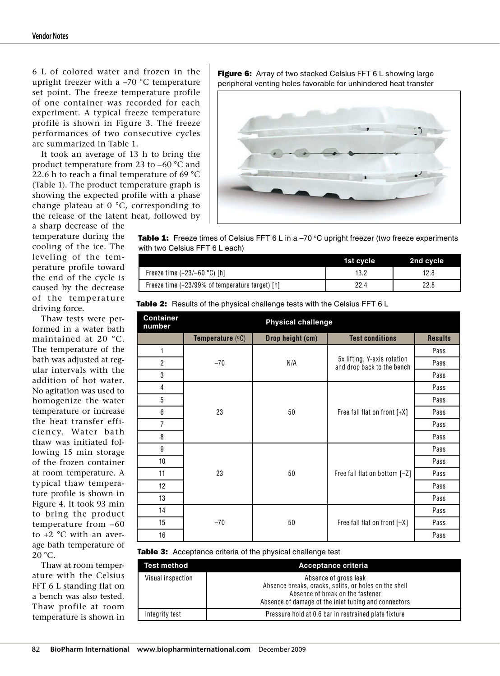6 L of colored water and frozen in the upright freezer with a –70 °C temperature set point. The freeze temperature profile of one container was recorded for each experiment. A typical freeze temperature profile is shown in Figure 3. The freeze performances of two consecutive cycles are summarized in Table 1.

It took an average of 13 h to bring the product temperature from 23 to –60 °C and 22.6 h to reach a final temperature of 69 °C (Table 1). The product temperature graph is showing the expected profile with a phase change plateau at 0 °C, corresponding to the release of the latent heat, followed by

a sharp decrease of the temperature during the cooling of the ice. The leveling of the temperature profile toward the end of the cycle is caused by the decrease of the temperature driving force.

Thaw tests were performed in a water bath maintained at 20 °C. The temperature of the bath was adjusted at regular intervals with the addition of hot water. No agitation was used to homogenize the water temperature or increase the heat transfer efficiency. Water bath thaw was initiated following 15 min storage of the frozen container at room temperature. A typical thaw temperature profile is shown in Figure 4. It took 93 min to bring the product temperature from –60 to +2 °C with an average bath temperature of  $20 °C$ .

Thaw at room temperature with the Celsius FFT 6 L standing flat on a bench was also tested. Thaw profile at room temperature is shown in Figure 6: Array of two stacked Celsius FFT 6 L showing large peripheral venting holes favorable for unhindered heat transfer



**Table 1:** Freeze times of Celsius FFT 6 L in a –70 °C upright freezer (two freeze experiments<br>with two Celsius FFT 6 L each)  $\frac{1}{\sqrt{2}}$  . The cells  $\frac{1}{\sqrt{2}}$  is  $\frac{1}{\sqrt{2}}$  . The cells  $\frac{1}{\sqrt{2}}$ 

|                                                 | 1st cycle | 2nd cycle |
|-------------------------------------------------|-----------|-----------|
| Freeze time (+23/–60 °C) [h]                    |           | 12.8      |
| Freeze time (+23/99% of temperature target) [h] | 22.4      | 22.8      |

|  | <b>Table 2:</b> Results of the physical challenge tests with the Celsius FFT 6 L |  |
|--|----------------------------------------------------------------------------------|--|
|  |                                                                                  |  |

| <b>Container</b><br>number | <b>Physical challenge</b>            |                  |                                                           |                |
|----------------------------|--------------------------------------|------------------|-----------------------------------------------------------|----------------|
|                            | <b>Temperature <math>(°C)</math></b> | Drop height (cm) | <b>Test conditions</b>                                    | <b>Results</b> |
| 1                          | $-70$                                |                  |                                                           | Pass           |
| $\overline{2}$             |                                      | N/A              | 5x lifting, Y-axis rotation<br>and drop back to the bench | Pass           |
| 3                          |                                      |                  |                                                           | Pass           |
| 4                          | 23                                   |                  |                                                           | Pass           |
| 5                          |                                      |                  |                                                           | Pass           |
| 6                          |                                      | 50               | Free fall flat on front [+X]                              | Pass           |
| 7                          |                                      |                  |                                                           | Pass           |
| 8                          |                                      |                  |                                                           | Pass           |
| 9                          | 23                                   |                  |                                                           | Pass           |
| 10                         |                                      |                  |                                                           | Pass           |
| 11                         |                                      | 50               | Free fall flat on bottom [-Z]                             | Pass           |
| 12                         |                                      |                  |                                                           | Pass           |
| 13                         |                                      |                  |                                                           | Pass           |
| 14                         | $-70$                                |                  |                                                           | Pass           |
| 15                         |                                      | 50               | Free fall flat on front [-X]                              | Pass           |
| 16                         |                                      |                  |                                                           | Pass           |

#### Table 3: Acceptance criteria of the physical challenge test

| <b>Test method</b> | Acceptance criteria                                                                                                                                                        |
|--------------------|----------------------------------------------------------------------------------------------------------------------------------------------------------------------------|
| Visual inspection  | Absence of gross leak<br>Absence breaks, cracks, splits, or holes on the shell<br>Absence of break on the fastener<br>Absence of damage of the inlet tubing and connectors |
| Integrity test     | Pressure hold at 0.6 bar in restrained plate fixture                                                                                                                       |